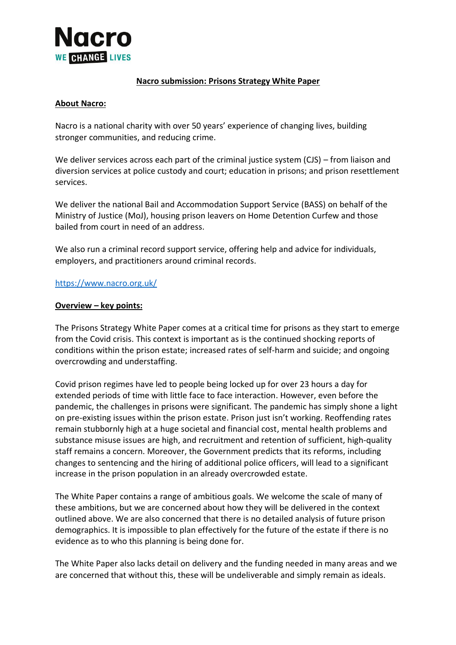

### **Nacro submission: Prisons Strategy White Paper**

### **About Nacro:**

Nacro is a national charity with over 50 years' experience of changing lives, building stronger communities, and reducing crime.

We deliver services across each part of the criminal justice system (CJS) – from liaison and diversion services at police custody and court; education in prisons; and prison resettlement services.

We deliver the national Bail and Accommodation Support Service (BASS) on behalf of the Ministry of Justice (MoJ), housing prison leavers on Home Detention Curfew and those bailed from court in need of an address.

We also run a criminal record support service, offering help and advice for individuals, employers, and practitioners around criminal records.

#### <https://www.nacro.org.uk/>

#### **Overview – key points:**

The Prisons Strategy White Paper comes at a critical time for prisons as they start to emerge from the Covid crisis. This context is important as is the continued shocking reports of conditions within the prison estate; increased rates of self-harm and suicide; and ongoing overcrowding and understaffing.

Covid prison regimes have led to people being locked up for over 23 hours a day for extended periods of time with little face to face interaction. However, even before the pandemic, the challenges in prisons were significant. The pandemic has simply shone a light on pre-existing issues within the prison estate. Prison just isn't working. Reoffending rates remain stubbornly high at a huge societal and financial cost, mental health problems and substance misuse issues are high, and recruitment and retention of sufficient, high-quality staff remains a concern. Moreover, the Government predicts that its reforms, including changes to sentencing and the hiring of additional police officers, will lead to a significant increase in the prison population in an already overcrowded estate.

The White Paper contains a range of ambitious goals. We welcome the scale of many of these ambitions, but we are concerned about how they will be delivered in the context outlined above. We are also concerned that there is no detailed analysis of future prison demographics. It is impossible to plan effectively for the future of the estate if there is no evidence as to who this planning is being done for.

The White Paper also lacks detail on delivery and the funding needed in many areas and we are concerned that without this, these will be undeliverable and simply remain as ideals.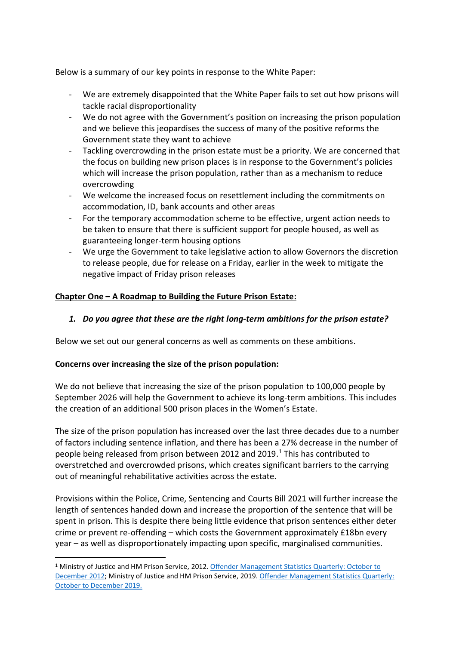Below is a summary of our key points in response to the White Paper:

- We are extremely disappointed that the White Paper fails to set out how prisons will tackle racial disproportionality
- We do not agree with the Government's position on increasing the prison population and we believe this jeopardises the success of many of the positive reforms the Government state they want to achieve
- Tackling overcrowding in the prison estate must be a priority. We are concerned that the focus on building new prison places is in response to the Government's policies which will increase the prison population, rather than as a mechanism to reduce overcrowding
- We welcome the increased focus on resettlement including the commitments on accommodation, ID, bank accounts and other areas
- For the temporary accommodation scheme to be effective, urgent action needs to be taken to ensure that there is sufficient support for people housed, as well as guaranteeing longer-term housing options
- We urge the Government to take legislative action to allow Governors the discretion to release people, due for release on a Friday, earlier in the week to mitigate the negative impact of Friday prison releases

# **Chapter One – A Roadmap to Building the Future Prison Estate:**

## *1. Do you agree that these are the right long-term ambitions for the prison estate?*

Below we set out our general concerns as well as comments on these ambitions.

## **Concerns over increasing the size of the prison population:**

We do not believe that increasing the size of the prison population to 100,000 people by September 2026 will help the Government to achieve its long-term ambitions. This includes the creation of an additional 500 prison places in the Women's Estate.

The size of the prison population has increased over the last three decades due to a number of factors including sentence inflation, and there has been a 27% decrease in the number of people being released from prison between 2012 and 2019. <sup>1</sup> This has contributed to overstretched and overcrowded prisons, which creates significant barriers to the carrying out of meaningful rehabilitative activities across the estate.

Provisions within the Police, Crime, Sentencing and Courts Bill 2021 will further increase the length of sentences handed down and increase the proportion of the sentence that will be spent in prison. This is despite there being little evidence that prison sentences either deter crime or prevent re-offending – which costs the Government approximately £18bn every year – as well as disproportionately impacting upon specific, marginalised communities.

<sup>1</sup> Ministry of Justice and HM Prison Service, 2012[. Offender Management Statistics Quarterly:](https://www.gov.uk/government/statistics/offender-management-statistics-quarterly--2) October to [December 2012;](https://www.gov.uk/government/statistics/offender-management-statistics-quarterly--2) Ministry of Justice and HM Prison Service, 2019[. Offender Management Statistics Quarterly:](https://www.gov.uk/government/statistics/offender-management-statistics-quarterly-october-to-december-2019/offender-management-statistics-quarterly-october-to-december-2019-and-annual-2019)  [October to December 2019.](https://www.gov.uk/government/statistics/offender-management-statistics-quarterly-october-to-december-2019/offender-management-statistics-quarterly-october-to-december-2019-and-annual-2019)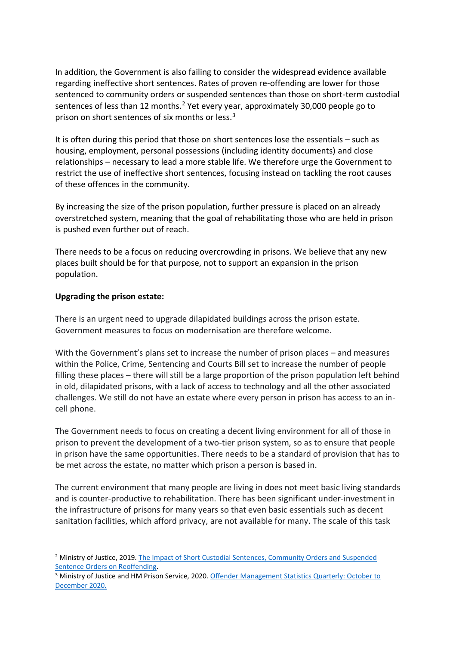In addition, the Government is also failing to consider the widespread evidence available regarding ineffective short sentences. Rates of proven re-offending are lower for those sentenced to community orders or suspended sentences than those on short-term custodial sentences of less than 12 months.<sup>2</sup> Yet every year, approximately 30,000 people go to prison on short sentences of six months or less.<sup>3</sup>

It is often during this period that those on short sentences lose the essentials – such as housing, employment, personal possessions (including identity documents) and close relationships – necessary to lead a more stable life. We therefore urge the Government to restrict the use of ineffective short sentences, focusing instead on tackling the root causes of these offences in the community.

By increasing the size of the prison population, further pressure is placed on an already overstretched system, meaning that the goal of rehabilitating those who are held in prison is pushed even further out of reach.

There needs to be a focus on reducing overcrowding in prisons. We believe that any new places built should be for that purpose, not to support an expansion in the prison population.

### **Upgrading the prison estate:**

There is an urgent need to upgrade dilapidated buildings across the prison estate. Government measures to focus on modernisation are therefore welcome.

With the Government's plans set to increase the number of prison places – and measures within the Police, Crime, Sentencing and Courts Bill set to increase the number of people filling these places – there will still be a large proportion of the prison population left behind in old, dilapidated prisons, with a lack of access to technology and all the other associated challenges. We still do not have an estate where every person in prison has access to an incell phone.

The Government needs to focus on creating a decent living environment for all of those in prison to prevent the development of a two-tier prison system, so as to ensure that people in prison have the same opportunities. There needs to be a standard of provision that has to be met across the estate, no matter which prison a person is based in.

The current environment that many people are living in does not meet basic living standards and is counter-productive to rehabilitation. There has been significant under-investment in the infrastructure of prisons for many years so that even basic essentials such as decent sanitation facilities, which afford privacy, are not available for many. The scale of this task

<sup>2</sup> Ministry of Justice, 2019. [The Impact of Short Custodial Sentences, Community Orders and Suspended](https://assets.publishing.service.gov.uk/government/uploads/system/uploads/attachment_data/file/814177/impact-short-custodial-sentences.pdf)  [Sentence Orders on Reoffending.](https://assets.publishing.service.gov.uk/government/uploads/system/uploads/attachment_data/file/814177/impact-short-custodial-sentences.pdf)

<sup>3</sup> Ministry of Justice and HM Prison Service, 2020. [Offender Management Statistics Quarterly: October to](https://www.gov.uk/government/statistics/offender-management-statistics-quarterly-october-to-december-2020)  [December 2020.](https://www.gov.uk/government/statistics/offender-management-statistics-quarterly-october-to-december-2020)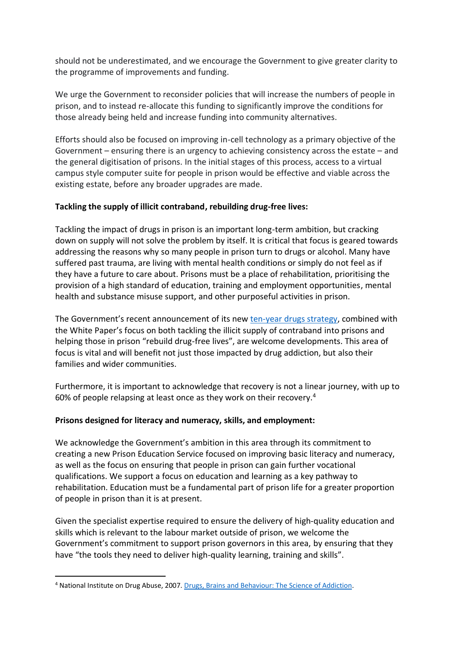should not be underestimated, and we encourage the Government to give greater clarity to the programme of improvements and funding.

We urge the Government to reconsider policies that will increase the numbers of people in prison, and to instead re-allocate this funding to significantly improve the conditions for those already being held and increase funding into community alternatives.

Efforts should also be focused on improving in-cell technology as a primary objective of the Government – ensuring there is an urgency to achieving consistency across the estate – and the general digitisation of prisons. In the initial stages of this process, access to a virtual campus style computer suite for people in prison would be effective and viable across the existing estate, before any broader upgrades are made.

## **Tackling the supply of illicit contraband, rebuilding drug-free lives:**

Tackling the impact of drugs in prison is an important long-term ambition, but cracking down on supply will not solve the problem by itself. It is critical that focus is geared towards addressing the reasons why so many people in prison turn to drugs or alcohol. Many have suffered past trauma, are living with mental health conditions or simply do not feel as if they have a future to care about. Prisons must be a place of rehabilitation, prioritising the provision of a high standard of education, training and employment opportunities, mental health and substance misuse support, and other purposeful activities in prison.

The Government's recent announcement of its new [ten-year drugs strategy,](https://www.gov.uk/government/news/largest-ever-increase-in-funding-for-drug-treatment) combined with the White Paper's focus on both tackling the illicit supply of contraband into prisons and helping those in prison "rebuild drug-free lives", are welcome developments. This area of focus is vital and will benefit not just those impacted by drug addiction, but also their families and wider communities.

Furthermore, it is important to acknowledge that recovery is not a linear journey, with up to 60% of people relapsing at least once as they work on their recovery.<sup>4</sup>

# **Prisons designed for literacy and numeracy, skills, and employment:**

We acknowledge the Government's ambition in this area through its commitment to creating a new Prison Education Service focused on improving basic literacy and numeracy, as well as the focus on ensuring that people in prison can gain further vocational qualifications. We support a focus on education and learning as a key pathway to rehabilitation. Education must be a fundamental part of prison life for a greater proportion of people in prison than it is at present.

Given the specialist expertise required to ensure the delivery of high-quality education and skills which is relevant to the labour market outside of prison, we welcome the Government's commitment to support prison governors in this area, by ensuring that they have "the tools they need to deliver high-quality learning, training and skills".

<sup>4</sup> National Institute on Drug Abuse, 2007. [Drugs, Brains and Behaviour: The Science of Addiction.](https://nida.nih.gov/sites/default/files/soa.pdf)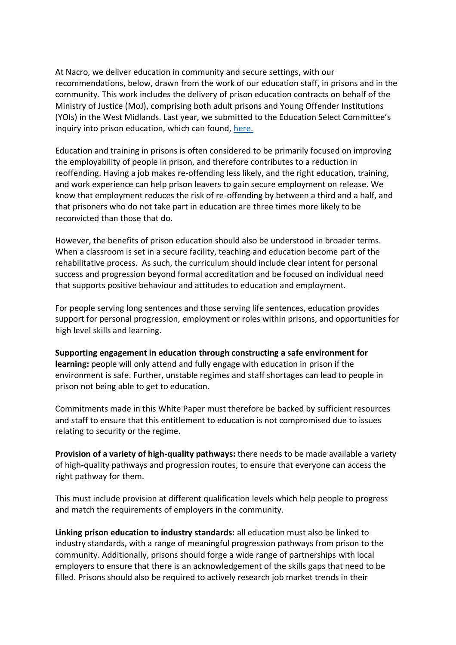At Nacro, we deliver education in community and secure settings, with our recommendations, below, drawn from the work of our education staff, in prisons and in the community. This work includes the delivery of prison education contracts on behalf of the Ministry of Justice (MoJ), comprising both adult prisons and Young Offender Institutions (YOIs) in the West Midlands. Last year, we submitted to the Education Select Committee's inquiry into prison education, which can found, [here.](https://3bx16p38bchl32s0e12di03h-wpengine.netdna-ssl.com/wp-content/uploads/2021/02/Education-Select-Committee-Inquiry-Are-prisoners-being-left-behind.pdf)

Education and training in prisons is often considered to be primarily focused on improving the employability of people in prison, and therefore contributes to a reduction in reoffending. Having a job makes re-offending less likely, and the right education, training, and work experience can help prison leavers to gain secure employment on release. We know that employment reduces the risk of re-offending by between a third and a half, and that prisoners who do not take part in education are three times more likely to be reconvicted than those that do.

However, the benefits of prison education should also be understood in broader terms. When a classroom is set in a secure facility, teaching and education become part of the rehabilitative process. As such, the curriculum should include clear intent for personal success and progression beyond formal accreditation and be focused on individual need that supports positive behaviour and attitudes to education and employment.

For people serving long sentences and those serving life sentences, education provides support for personal progression, employment or roles within prisons, and opportunities for high level skills and learning.

**Supporting engagement in education through constructing a safe environment for learning:** people will only attend and fully engage with education in prison if the environment is safe. Further, unstable regimes and staff shortages can lead to people in prison not being able to get to education.

Commitments made in this White Paper must therefore be backed by sufficient resources and staff to ensure that this entitlement to education is not compromised due to issues relating to security or the regime.

**Provision of a variety of high-quality pathways:** there needs to be made available a variety of high-quality pathways and progression routes, to ensure that everyone can access the right pathway for them.

This must include provision at different qualification levels which help people to progress and match the requirements of employers in the community.

**Linking prison education to industry standards:** all education must also be linked to industry standards, with a range of meaningful progression pathways from prison to the community. Additionally, prisons should forge a wide range of partnerships with local employers to ensure that there is an acknowledgement of the skills gaps that need to be filled. Prisons should also be required to actively research job market trends in their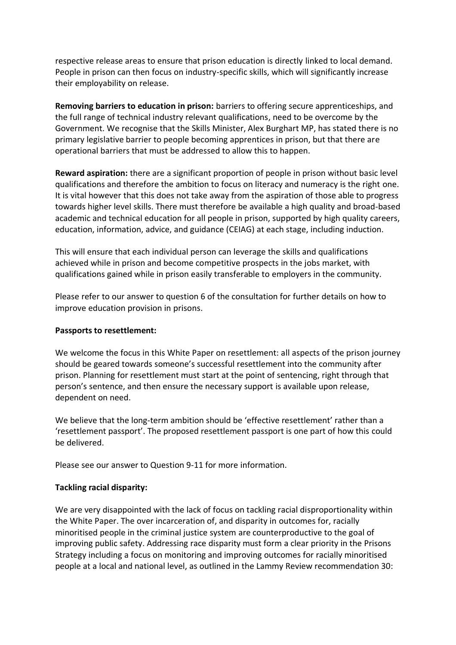respective release areas to ensure that prison education is directly linked to local demand. People in prison can then focus on industry-specific skills, which will significantly increase their employability on release.

**Removing barriers to education in prison:** barriers to offering secure apprenticeships, and the full range of technical industry relevant qualifications, need to be overcome by the Government. We recognise that the Skills Minister, Alex Burghart MP, has stated there is no primary legislative barrier to people becoming apprentices in prison, but that there are operational barriers that must be addressed to allow this to happen.

**Reward aspiration:** there are a significant proportion of people in prison without basic level qualifications and therefore the ambition to focus on literacy and numeracy is the right one. It is vital however that this does not take away from the aspiration of those able to progress towards higher level skills. There must therefore be available a high quality and broad-based academic and technical education for all people in prison, supported by high quality careers, education, information, advice, and guidance (CEIAG) at each stage, including induction.

This will ensure that each individual person can leverage the skills and qualifications achieved while in prison and become competitive prospects in the jobs market, with qualifications gained while in prison easily transferable to employers in the community.

Please refer to our answer to question 6 of the consultation for further details on how to improve education provision in prisons.

#### **Passports to resettlement:**

We welcome the focus in this White Paper on resettlement: all aspects of the prison journey should be geared towards someone's successful resettlement into the community after prison. Planning for resettlement must start at the point of sentencing, right through that person's sentence, and then ensure the necessary support is available upon release, dependent on need.

We believe that the long-term ambition should be 'effective resettlement' rather than a 'resettlement passport'. The proposed resettlement passport is one part of how this could be delivered.

Please see our answer to Question 9-11 for more information.

## **Tackling racial disparity:**

We are very disappointed with the lack of focus on tackling racial disproportionality within the White Paper. The over incarceration of, and disparity in outcomes for, racially minoritised people in the criminal justice system are counterproductive to the goal of improving public safety. Addressing race disparity must form a clear priority in the Prisons Strategy including a focus on monitoring and improving outcomes for racially minoritised people at a local and national level, as outlined in the Lammy Review recommendation 30: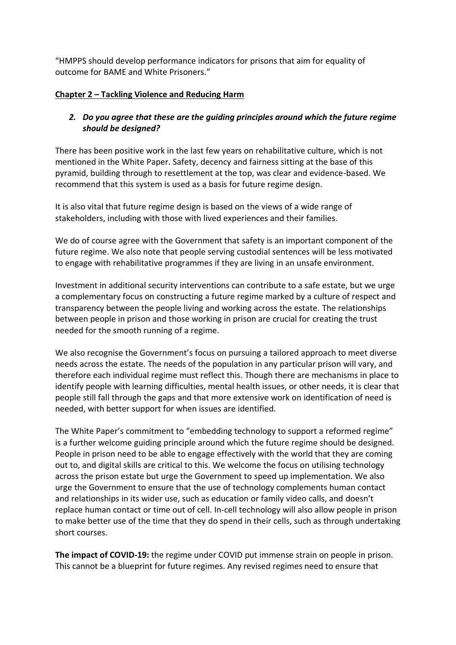"HMPPS should develop performance indicators for prisons that aim for equality of outcome for BAME and White Prisoners."

## **Chapter 2 – Tackling Violence and Reducing Harm**

# *2. Do you agree that these are the guiding principles around which the future regime should be designed?*

There has been positive work in the last few years on rehabilitative culture, which is not mentioned in the White Paper. Safety, decency and fairness sitting at the base of this pyramid, building through to resettlement at the top, was clear and evidence-based. We recommend that this system is used as a basis for future regime design.

It is also vital that future regime design is based on the views of a wide range of stakeholders, including with those with lived experiences and their families.

We do of course agree with the Government that safety is an important component of the future regime. We also note that people serving custodial sentences will be less motivated to engage with rehabilitative programmes if they are living in an unsafe environment.

Investment in additional security interventions can contribute to a safe estate, but we urge a complementary focus on constructing a future regime marked by a culture of respect and transparency between the people living and working across the estate. The relationships between people in prison and those working in prison are crucial for creating the trust needed for the smooth running of a regime.

We also recognise the Government's focus on pursuing a tailored approach to meet diverse needs across the estate. The needs of the population in any particular prison will vary, and therefore each individual regime must reflect this. Though there are mechanisms in place to identify people with learning difficulties, mental health issues, or other needs, it is clear that people still fall through the gaps and that more extensive work on identification of need is needed, with better support for when issues are identified.

The White Paper's commitment to "embedding technology to support a reformed regime" is a further welcome guiding principle around which the future regime should be designed. People in prison need to be able to engage effectively with the world that they are coming out to, and digital skills are critical to this. We welcome the focus on utilising technology across the prison estate but urge the Government to speed up implementation. We also urge the Government to ensure that the use of technology complements human contact and relationships in its wider use, such as education or family video calls, and doesn't replace human contact or time out of cell. In-cell technology will also allow people in prison to make better use of the time that they do spend in their cells, such as through undertaking short courses.

**The impact of COVID-19:** the regime under COVID put immense strain on people in prison. This cannot be a blueprint for future regimes. Any revised regimes need to ensure that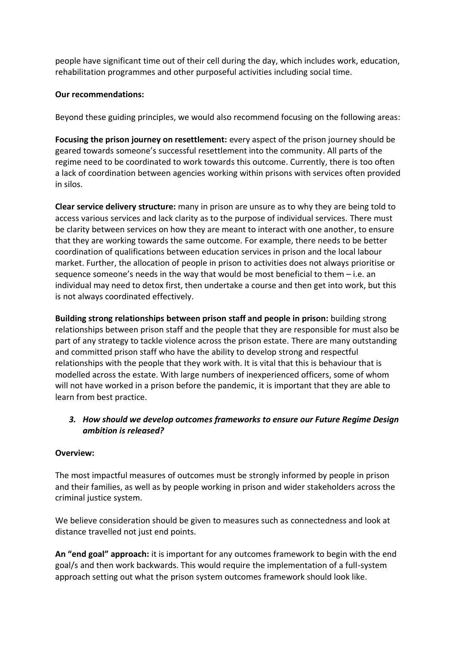people have significant time out of their cell during the day, which includes work, education, rehabilitation programmes and other purposeful activities including social time.

### **Our recommendations:**

Beyond these guiding principles, we would also recommend focusing on the following areas:

**Focusing the prison journey on resettlement:** every aspect of the prison journey should be geared towards someone's successful resettlement into the community. All parts of the regime need to be coordinated to work towards this outcome. Currently, there is too often a lack of coordination between agencies working within prisons with services often provided in silos.

**Clear service delivery structure:** many in prison are unsure as to why they are being told to access various services and lack clarity as to the purpose of individual services. There must be clarity between services on how they are meant to interact with one another, to ensure that they are working towards the same outcome. For example, there needs to be better coordination of qualifications between education services in prison and the local labour market. Further, the allocation of people in prison to activities does not always prioritise or sequence someone's needs in the way that would be most beneficial to them – i.e. an individual may need to detox first, then undertake a course and then get into work, but this is not always coordinated effectively.

**Building strong relationships between prison staff and people in prison:** building strong relationships between prison staff and the people that they are responsible for must also be part of any strategy to tackle violence across the prison estate. There are many outstanding and committed prison staff who have the ability to develop strong and respectful relationships with the people that they work with. It is vital that this is behaviour that is modelled across the estate. With large numbers of inexperienced officers, some of whom will not have worked in a prison before the pandemic, it is important that they are able to learn from best practice.

# *3. How should we develop outcomes frameworks to ensure our Future Regime Design ambition is released?*

#### **Overview:**

The most impactful measures of outcomes must be strongly informed by people in prison and their families, as well as by people working in prison and wider stakeholders across the criminal justice system.

We believe consideration should be given to measures such as connectedness and look at distance travelled not just end points.

**An "end goal" approach:** it is important for any outcomes framework to begin with the end goal/s and then work backwards. This would require the implementation of a full-system approach setting out what the prison system outcomes framework should look like.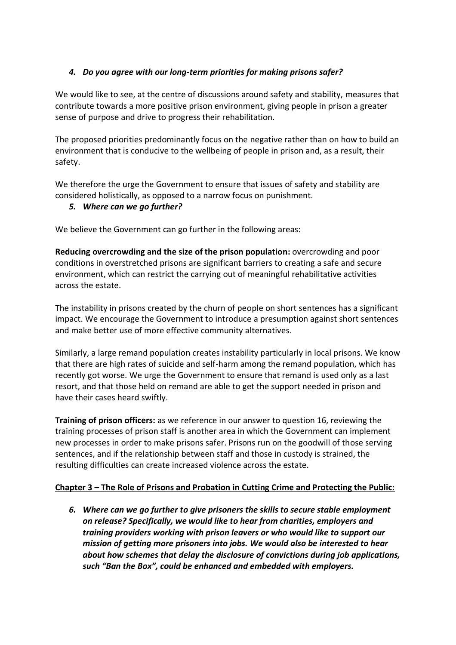# *4. Do you agree with our long-term priorities for making prisons safer?*

We would like to see, at the centre of discussions around safety and stability, measures that contribute towards a more positive prison environment, giving people in prison a greater sense of purpose and drive to progress their rehabilitation.

The proposed priorities predominantly focus on the negative rather than on how to build an environment that is conducive to the wellbeing of people in prison and, as a result, their safety.

We therefore the urge the Government to ensure that issues of safety and stability are considered holistically, as opposed to a narrow focus on punishment.

## *5. Where can we go further?*

We believe the Government can go further in the following areas:

**Reducing overcrowding and the size of the prison population:** overcrowding and poor conditions in overstretched prisons are significant barriers to creating a safe and secure environment, which can restrict the carrying out of meaningful rehabilitative activities across the estate.

The instability in prisons created by the churn of people on short sentences has a significant impact. We encourage the Government to introduce a presumption against short sentences and make better use of more effective community alternatives.

Similarly, a large remand population creates instability particularly in local prisons. We know that there are high rates of suicide and self-harm among the remand population, which has recently got worse. We urge the Government to ensure that remand is used only as a last resort, and that those held on remand are able to get the support needed in prison and have their cases heard swiftly.

**Training of prison officers:** as we reference in our answer to question 16, reviewing the training processes of prison staff is another area in which the Government can implement new processes in order to make prisons safer. Prisons run on the goodwill of those serving sentences, and if the relationship between staff and those in custody is strained, the resulting difficulties can create increased violence across the estate.

## **Chapter 3 – The Role of Prisons and Probation in Cutting Crime and Protecting the Public:**

*6. Where can we go further to give prisoners the skills to secure stable employment on release? Specifically, we would like to hear from charities, employers and training providers working with prison leavers or who would like to support our mission of getting more prisoners into jobs. We would also be interested to hear about how schemes that delay the disclosure of convictions during job applications, such "Ban the Box", could be enhanced and embedded with employers.*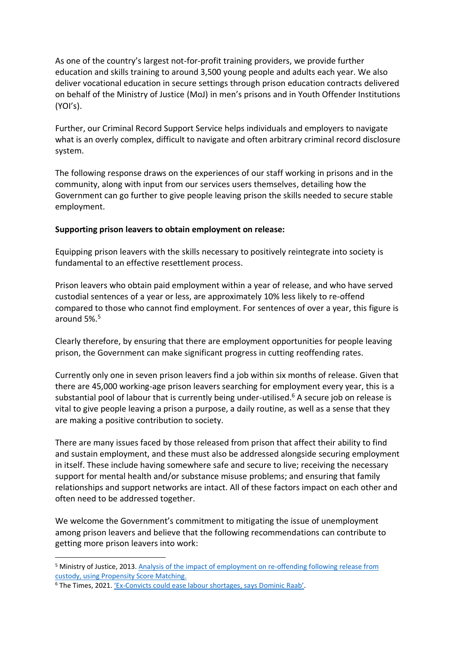As one of the country's largest not-for-profit training providers, we provide further education and skills training to around 3,500 young people and adults each year. We also deliver vocational education in secure settings through prison education contracts delivered on behalf of the Ministry of Justice (MoJ) in men's prisons and in Youth Offender Institutions (YOI's).

Further, our Criminal Record Support Service helps individuals and employers to navigate what is an overly complex, difficult to navigate and often arbitrary criminal record disclosure system.

The following response draws on the experiences of our staff working in prisons and in the community, along with input from our services users themselves, detailing how the Government can go further to give people leaving prison the skills needed to secure stable employment.

### **Supporting prison leavers to obtain employment on release:**

Equipping prison leavers with the skills necessary to positively reintegrate into society is fundamental to an effective resettlement process.

Prison leavers who obtain paid employment within a year of release, and who have served custodial sentences of a year or less, are approximately 10% less likely to re-offend compared to those who cannot find employment. For sentences of over a year, this figure is around 5%.<sup>5</sup>

Clearly therefore, by ensuring that there are employment opportunities for people leaving prison, the Government can make significant progress in cutting reoffending rates.

Currently only one in seven prison leavers find a job within six months of release. Given that there are 45,000 working-age prison leavers searching for employment every year, this is a substantial pool of labour that is currently being under-utilised. $6$  A secure job on release is vital to give people leaving a prison a purpose, a daily routine, as well as a sense that they are making a positive contribution to society.

There are many issues faced by those released from prison that affect their ability to find and sustain employment, and these must also be addressed alongside securing employment in itself. These include having somewhere safe and secure to live; receiving the necessary support for mental health and/or substance misuse problems; and ensuring that family relationships and support networks are intact. All of these factors impact on each other and often need to be addressed together.

We welcome the Government's commitment to mitigating the issue of unemployment among prison leavers and believe that the following recommendations can contribute to getting more prison leavers into work:

<sup>5</sup> Ministry of Justice, 2013. [Analysis of the impact of employment on re-offending following release from](https://assets.publishing.service.gov.uk/government/uploads/system/uploads/attachment_data/file/217412/impact-employment-reoffending.pdf)  [custody, using Propensity Score Matching.](https://assets.publishing.service.gov.uk/government/uploads/system/uploads/attachment_data/file/217412/impact-employment-reoffending.pdf)

<sup>6</sup> The Times, 2021. 'Ex-[Convicts could ease labour shortages, says Dominic Raab'](https://www.thetimes.co.uk/article/ex-convicts-could-ease-labour-shortages-says-dominic-raab-0vp2zjwtb).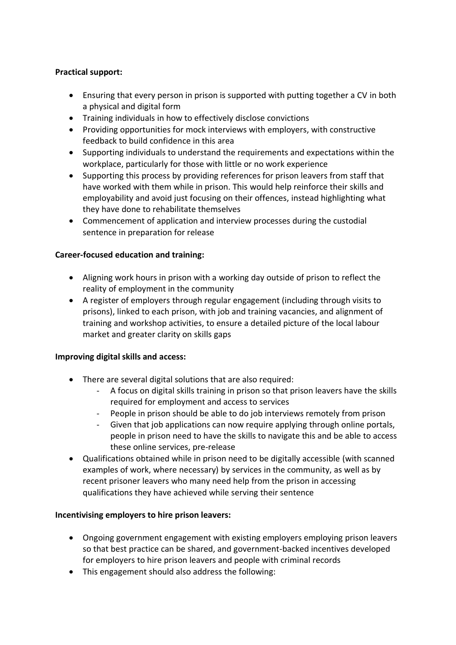## **Practical support:**

- Ensuring that every person in prison is supported with putting together a CV in both a physical and digital form
- Training individuals in how to effectively disclose convictions
- Providing opportunities for mock interviews with employers, with constructive feedback to build confidence in this area
- Supporting individuals to understand the requirements and expectations within the workplace, particularly for those with little or no work experience
- Supporting this process by providing references for prison leavers from staff that have worked with them while in prison. This would help reinforce their skills and employability and avoid just focusing on their offences, instead highlighting what they have done to rehabilitate themselves
- Commencement of application and interview processes during the custodial sentence in preparation for release

### **Career-focused education and training:**

- Aligning work hours in prison with a working day outside of prison to reflect the reality of employment in the community
- A register of employers through regular engagement (including through visits to prisons), linked to each prison, with job and training vacancies, and alignment of training and workshop activities, to ensure a detailed picture of the local labour market and greater clarity on skills gaps

#### **Improving digital skills and access:**

- There are several digital solutions that are also required:
	- A focus on digital skills training in prison so that prison leavers have the skills required for employment and access to services
	- People in prison should be able to do job interviews remotely from prison
	- Given that job applications can now require applying through online portals, people in prison need to have the skills to navigate this and be able to access these online services, pre-release
- Qualifications obtained while in prison need to be digitally accessible (with scanned examples of work, where necessary) by services in the community, as well as by recent prisoner leavers who many need help from the prison in accessing qualifications they have achieved while serving their sentence

## **Incentivising employers to hire prison leavers:**

- Ongoing government engagement with existing employers employing prison leavers so that best practice can be shared, and government-backed incentives developed for employers to hire prison leavers and people with criminal records
- This engagement should also address the following: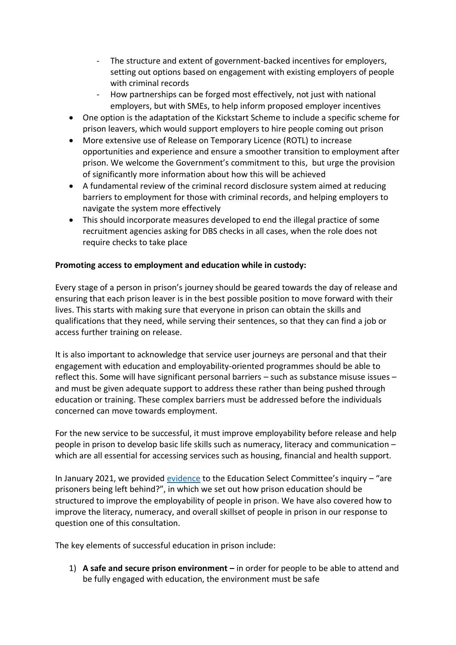- The structure and extent of government-backed incentives for employers, setting out options based on engagement with existing employers of people with criminal records
- How partnerships can be forged most effectively, not just with national employers, but with SMEs, to help inform proposed employer incentives
- One option is the adaptation of the Kickstart Scheme to include a specific scheme for prison leavers, which would support employers to hire people coming out prison
- More extensive use of Release on Temporary Licence (ROTL) to increase opportunities and experience and ensure a smoother transition to employment after prison. We welcome the Government's commitment to this, but urge the provision of significantly more information about how this will be achieved
- A fundamental review of the criminal record disclosure system aimed at reducing barriers to employment for those with criminal records, and helping employers to navigate the system more effectively
- This should incorporate measures developed to end the illegal practice of some recruitment agencies asking for DBS checks in all cases, when the role does not require checks to take place

# **Promoting access to employment and education while in custody:**

Every stage of a person in prison's journey should be geared towards the day of release and ensuring that each prison leaver is in the best possible position to move forward with their lives. This starts with making sure that everyone in prison can obtain the skills and qualifications that they need, while serving their sentences, so that they can find a job or access further training on release.

It is also important to acknowledge that service user journeys are personal and that their engagement with education and employability-oriented programmes should be able to reflect this. Some will have significant personal barriers – such as substance misuse issues – and must be given adequate support to address these rather than being pushed through education or training. These complex barriers must be addressed before the individuals concerned can move towards employment.

For the new service to be successful, it must improve employability before release and help people in prison to develop basic life skills such as numeracy, literacy and communication – which are all essential for accessing services such as housing, financial and health support.

In January 2021, we provided [evidence](https://3bx16p38bchl32s0e12di03h-wpengine.netdna-ssl.com/wp-content/uploads/2021/02/Education-Select-Committee-Inquiry-Are-prisoners-being-left-behind.pdf) to the Education Select Committee's inquiry  $-$  "are prisoners being left behind?", in which we set out how prison education should be structured to improve the employability of people in prison. We have also covered how to improve the literacy, numeracy, and overall skillset of people in prison in our response to question one of this consultation.

The key elements of successful education in prison include:

1) **A safe and secure prison environment –** in order for people to be able to attend and be fully engaged with education, the environment must be safe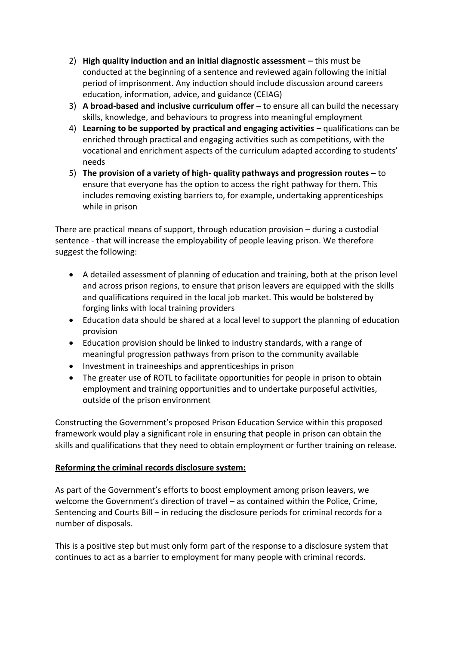- 2) **High quality induction and an initial diagnostic assessment –** this must be conducted at the beginning of a sentence and reviewed again following the initial period of imprisonment. Any induction should include discussion around careers education, information, advice, and guidance (CEIAG)
- 3) **A broad-based and inclusive curriculum offer –** to ensure all can build the necessary skills, knowledge, and behaviours to progress into meaningful employment
- 4) **Learning to be supported by practical and engaging activities –** qualifications can be enriched through practical and engaging activities such as competitions, with the vocational and enrichment aspects of the curriculum adapted according to students' needs
- 5) **The provision of a variety of high- quality pathways and progression routes –** to ensure that everyone has the option to access the right pathway for them. This includes removing existing barriers to, for example, undertaking apprenticeships while in prison

There are practical means of support, through education provision – during a custodial sentence - that will increase the employability of people leaving prison. We therefore suggest the following:

- A detailed assessment of planning of education and training, both at the prison level and across prison regions, to ensure that prison leavers are equipped with the skills and qualifications required in the local job market. This would be bolstered by forging links with local training providers
- Education data should be shared at a local level to support the planning of education provision
- Education provision should be linked to industry standards, with a range of meaningful progression pathways from prison to the community available
- Investment in traineeships and apprenticeships in prison
- The greater use of ROTL to facilitate opportunities for people in prison to obtain employment and training opportunities and to undertake purposeful activities, outside of the prison environment

Constructing the Government's proposed Prison Education Service within this proposed framework would play a significant role in ensuring that people in prison can obtain the skills and qualifications that they need to obtain employment or further training on release.

# **Reforming the criminal records disclosure system:**

As part of the Government's efforts to boost employment among prison leavers, we welcome the Government's direction of travel – as contained within the Police, Crime, Sentencing and Courts Bill – in reducing the disclosure periods for criminal records for a number of disposals.

This is a positive step but must only form part of the response to a disclosure system that continues to act as a barrier to employment for many people with criminal records.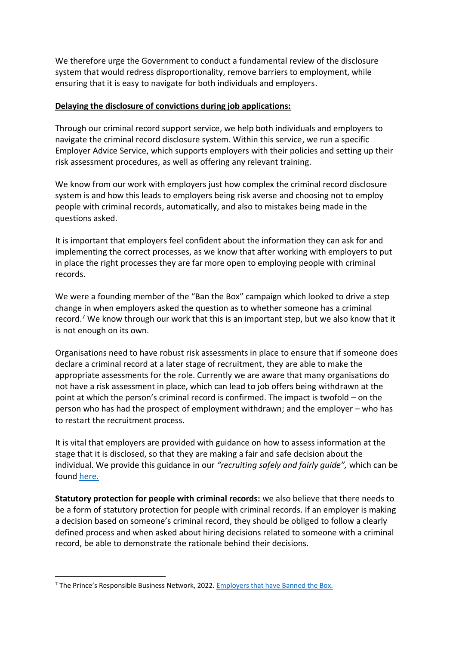We therefore urge the Government to conduct a fundamental review of the disclosure system that would redress disproportionality, remove barriers to employment, while ensuring that it is easy to navigate for both individuals and employers.

### **Delaying the disclosure of convictions during job applications:**

Through our criminal record support service, we help both individuals and employers to navigate the criminal record disclosure system. Within this service, we run a specific Employer Advice Service, which supports employers with their policies and setting up their risk assessment procedures, as well as offering any relevant training.

We know from our work with employers just how complex the criminal record disclosure system is and how this leads to employers being risk averse and choosing not to employ people with criminal records, automatically, and also to mistakes being made in the questions asked.

It is important that employers feel confident about the information they can ask for and implementing the correct processes, as we know that after working with employers to put in place the right processes they are far more open to employing people with criminal records.

We were a founding member of the "Ban the Box" campaign which looked to drive a step change in when employers asked the question as to whether someone has a criminal record.<sup>7</sup> We know through our work that this is an important step, but we also know that it is not enough on its own.

Organisations need to have robust risk assessments in place to ensure that if someone does declare a criminal record at a later stage of recruitment, they are able to make the appropriate assessments for the role. Currently we are aware that many organisations do not have a risk assessment in place, which can lead to job offers being withdrawn at the point at which the person's criminal record is confirmed. The impact is twofold – on the person who has had the prospect of employment withdrawn; and the employer – who has to restart the recruitment process.

It is vital that employers are provided with guidance on how to assess information at the stage that it is disclosed, so that they are making a fair and safe decision about the individual. We provide this guidance in our *"recruiting safely and fairly guide",* which can be found [here.](https://www.nacro.org.uk/criminal-record-support-service/support-for-employers/recruiting-safely-and-fairly-guide-a-practical-guide-to-employing-ex-offenders/)

**Statutory protection for people with criminal records:** we also believe that there needs to be a form of statutory protection for people with criminal records. If an employer is making a decision based on someone's criminal record, they should be obliged to follow a clearly defined process and when asked about hiring decisions related to someone with a criminal record, be able to demonstrate the rationale behind their decisions.

<sup>&</sup>lt;sup>7</sup> The Prince's Responsible Business Network, 2022. [Employers that have Banned the Box.](https://www.bitc.org.uk/fact-sheet/employers-that-have-banned-the-box/)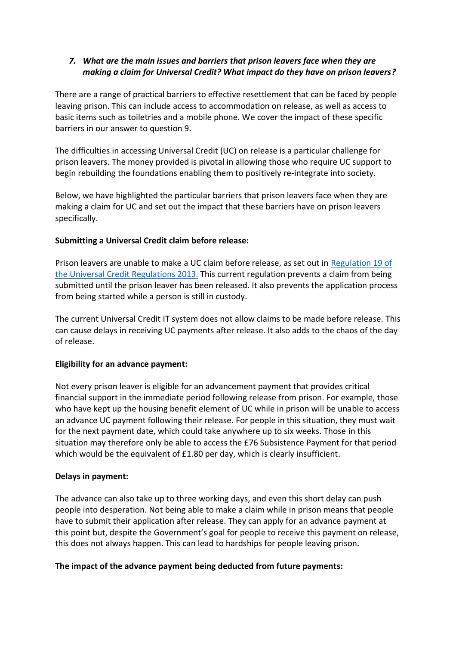# *7. What are the main issues and barriers that prison leavers face when they are making a claim for Universal Credit? What impact do they have on prison leavers?*

There are a range of practical barriers to effective resettlement that can be faced by people leaving prison. This can include access to accommodation on release, as well as access to basic items such as toiletries and a mobile phone. We cover the impact of these specific barriers in our answer to question 9.

The difficulties in accessing Universal Credit (UC) on release is a particular challenge for prison leavers. The money provided is pivotal in allowing those who require UC support to begin rebuilding the foundations enabling them to positively re-integrate into society.

Below, we have highlighted the particular barriers that prison leavers face when they are making a claim for UC and set out the impact that these barriers have on prison leavers specifically.

## **Submitting a Universal Credit claim before release:**

Prison leavers are unable to make a UC claim before release, as set out in Regulation 19 of [the Universal Credit Regulations 2013.](https://www.legislation.gov.uk/uksi/2013/376/regulation/19/made) This current regulation prevents a claim from being submitted until the prison leaver has been released. It also prevents the application process from being started while a person is still in custody.

The current Universal Credit IT system does not allow claims to be made before release. This can cause delays in receiving UC payments after release. It also adds to the chaos of the day of release.

#### **Eligibility for an advance payment:**

Not every prison leaver is eligible for an advancement payment that provides critical financial support in the immediate period following release from prison. For example, those who have kept up the housing benefit element of UC while in prison will be unable to access an advance UC payment following their release. For people in this situation, they must wait for the next payment date, which could take anywhere up to six weeks. Those in this situation may therefore only be able to access the £76 Subsistence Payment for that period which would be the equivalent of £1.80 per day, which is clearly insufficient.

#### **Delays in payment:**

The advance can also take up to three working days, and even this short delay can push people into desperation. Not being able to make a claim while in prison means that people have to submit their application after release. They can apply for an advance payment at this point but, despite the Government's goal for people to receive this payment on release, this does not always happen. This can lead to hardships for people leaving prison.

#### **The impact of the advance payment being deducted from future payments:**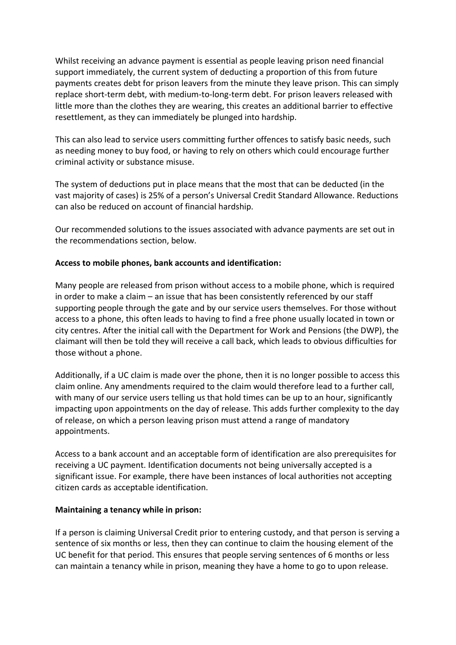Whilst receiving an advance payment is essential as people leaving prison need financial support immediately, the current system of deducting a proportion of this from future payments creates debt for prison leavers from the minute they leave prison. This can simply replace short-term debt, with medium-to-long-term debt. For prison leavers released with little more than the clothes they are wearing, this creates an additional barrier to effective resettlement, as they can immediately be plunged into hardship.

This can also lead to service users committing further offences to satisfy basic needs, such as needing money to buy food, or having to rely on others which could encourage further criminal activity or substance misuse.

The system of deductions put in place means that the most that can be deducted (in the vast majority of cases) is 25% of a person's Universal Credit Standard Allowance. Reductions can also be reduced on account of financial hardship.

Our recommended solutions to the issues associated with advance payments are set out in the recommendations section, below.

#### **Access to mobile phones, bank accounts and identification:**

Many people are released from prison without access to a mobile phone, which is required in order to make a claim – an issue that has been consistently referenced by our staff supporting people through the gate and by our service users themselves. For those without access to a phone, this often leads to having to find a free phone usually located in town or city centres. After the initial call with the Department for Work and Pensions (the DWP), the claimant will then be told they will receive a call back, which leads to obvious difficulties for those without a phone.

Additionally, if a UC claim is made over the phone, then it is no longer possible to access this claim online. Any amendments required to the claim would therefore lead to a further call, with many of our service users telling us that hold times can be up to an hour, significantly impacting upon appointments on the day of release. This adds further complexity to the day of release, on which a person leaving prison must attend a range of mandatory appointments.

Access to a bank account and an acceptable form of identification are also prerequisites for receiving a UC payment. Identification documents not being universally accepted is a significant issue. For example, there have been instances of local authorities not accepting citizen cards as acceptable identification.

#### **Maintaining a tenancy while in prison:**

If a person is claiming Universal Credit prior to entering custody, and that person is serving a sentence of six months or less, then they can continue to claim the housing element of the UC benefit for that period. This ensures that people serving sentences of 6 months or less can maintain a tenancy while in prison, meaning they have a home to go to upon release.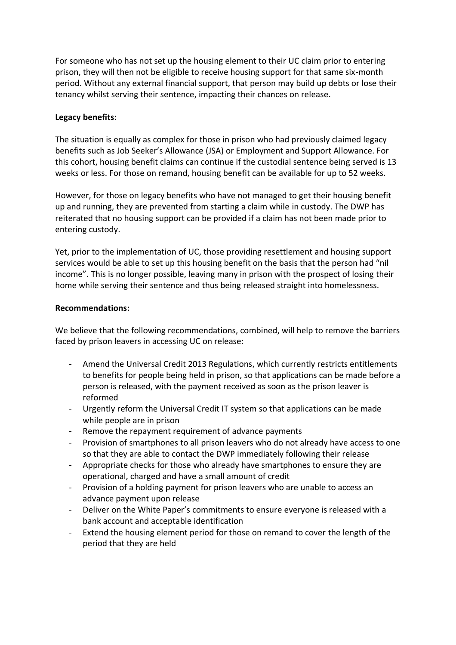For someone who has not set up the housing element to their UC claim prior to entering prison, they will then not be eligible to receive housing support for that same six-month period. Without any external financial support, that person may build up debts or lose their tenancy whilst serving their sentence, impacting their chances on release.

### **Legacy benefits:**

The situation is equally as complex for those in prison who had previously claimed legacy benefits such as Job Seeker's Allowance (JSA) or Employment and Support Allowance. For this cohort, housing benefit claims can continue if the custodial sentence being served is 13 weeks or less. For those on remand, housing benefit can be available for up to 52 weeks.

However, for those on legacy benefits who have not managed to get their housing benefit up and running, they are prevented from starting a claim while in custody. The DWP has reiterated that no housing support can be provided if a claim has not been made prior to entering custody.

Yet, prior to the implementation of UC, those providing resettlement and housing support services would be able to set up this housing benefit on the basis that the person had "nil income". This is no longer possible, leaving many in prison with the prospect of losing their home while serving their sentence and thus being released straight into homelessness.

#### **Recommendations:**

We believe that the following recommendations, combined, will help to remove the barriers faced by prison leavers in accessing UC on release:

- Amend the Universal Credit 2013 Regulations, which currently restricts entitlements to benefits for people being held in prison, so that applications can be made before a person is released, with the payment received as soon as the prison leaver is reformed
- Urgently reform the Universal Credit IT system so that applications can be made while people are in prison
- Remove the repayment requirement of advance payments
- Provision of smartphones to all prison leavers who do not already have access to one so that they are able to contact the DWP immediately following their release
- Appropriate checks for those who already have smartphones to ensure they are operational, charged and have a small amount of credit
- Provision of a holding payment for prison leavers who are unable to access an advance payment upon release
- Deliver on the White Paper's commitments to ensure everyone is released with a bank account and acceptable identification
- Extend the housing element period for those on remand to cover the length of the period that they are held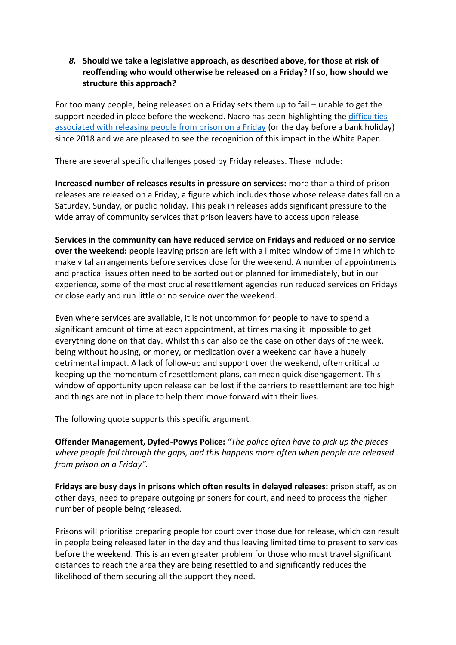*8.* **Should we take a legislative approach, as described above, for those at risk of reoffending who would otherwise be released on a Friday? If so, how should we structure this approach?**

For too many people, being released on a Friday sets them up to fail – unable to get the support needed in place before the weekend. Nacro has been highlighting th[e difficulties](https://3bx16p38bchl32s0e12di03h-wpengine.netdna-ssl.com/wp-content/uploads/2021/09/Nacro-Briefing-Friday-Releases.pdf)  [associated with releasing people from prison on a Friday](https://3bx16p38bchl32s0e12di03h-wpengine.netdna-ssl.com/wp-content/uploads/2021/09/Nacro-Briefing-Friday-Releases.pdf) (or the day before a bank holiday) since 2018 and we are pleased to see the recognition of this impact in the White Paper.

There are several specific challenges posed by Friday releases. These include:

**Increased number of releases results in pressure on services:** more than a third of prison releases are released on a Friday, a figure which includes those whose release dates fall on a Saturday, Sunday, or public holiday. This peak in releases adds significant pressure to the wide array of community services that prison leavers have to access upon release.

**Services in the community can have reduced service on Fridays and reduced or no service over the weekend:** people leaving prison are left with a limited window of time in which to make vital arrangements before services close for the weekend. A number of appointments and practical issues often need to be sorted out or planned for immediately, but in our experience, some of the most crucial resettlement agencies run reduced services on Fridays or close early and run little or no service over the weekend.

Even where services are available, it is not uncommon for people to have to spend a significant amount of time at each appointment, at times making it impossible to get everything done on that day. Whilst this can also be the case on other days of the week, being without housing, or money, or medication over a weekend can have a hugely detrimental impact. A lack of follow-up and support over the weekend, often critical to keeping up the momentum of resettlement plans, can mean quick disengagement. This window of opportunity upon release can be lost if the barriers to resettlement are too high and things are not in place to help them move forward with their lives.

The following quote supports this specific argument.

**Offender Management, Dyfed-Powys Police:** *"The police often have to pick up the pieces where people fall through the gaps, and this happens more often when people are released from prison on a Friday".* 

**Fridays are busy days in prisons which often results in delayed releases:** prison staff, as on other days, need to prepare outgoing prisoners for court, and need to process the higher number of people being released.

Prisons will prioritise preparing people for court over those due for release, which can result in people being released later in the day and thus leaving limited time to present to services before the weekend. This is an even greater problem for those who must travel significant distances to reach the area they are being resettled to and significantly reduces the likelihood of them securing all the support they need.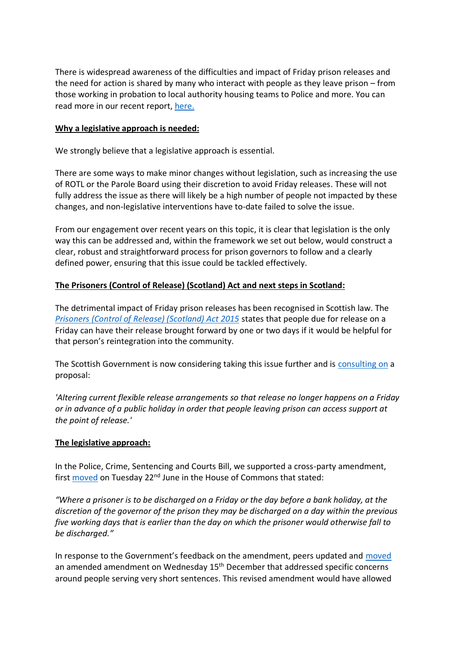There is widespread awareness of the difficulties and impact of Friday prison releases and the need for action is shared by many who interact with people as they leave prison – from those working in probation to local authority housing teams to Police and more. You can read more in our recent report, here.

### **Why a legislative approach is needed:**

We strongly believe that a legislative approach is essential.

There are some ways to make minor changes without legislation, such as increasing the use of ROTL or the Parole Board using their discretion to avoid Friday releases. These will not fully address the issue as there will likely be a high number of people not impacted by these changes, and non-legislative interventions have to-date failed to solve the issue.

From our engagement over recent years on this topic, it is clear that legislation is the only way this can be addressed and, within the framework we set out below, would construct a clear, robust and straightforward process for prison governors to follow and a clearly defined power, ensuring that this issue could be tackled effectively.

## **The Prisoners (Control of Release) (Scotland) Act and next steps in Scotland:**

The detrimental impact of Friday prison releases has been recognised in Scottish law. The *[Prisoners \(Control of Release\) \(Scotland\) Act 2015](https://www.legislation.gov.uk/asp/2015/8/section/2)* states that people due for release on a Friday can have their release brought forward by one or two days if it would be helpful for that person's reintegration into the community.

The Scottish Government is now considering taking this issue further and is [consulting](https://www.gov.scot/publications/consultation-bail-release-custody-arrangements-scotland/) on a proposal:

*'Altering current flexible release arrangements so that release no longer happens on a Friday or in advance of a public holiday in order that people leaving prison can access support at the point of release.'*

## **The legislative approach:**

In the Police, Crime, Sentencing and Courts Bill, we supported a cross-party amendment, first [moved](https://hansard.parliament.uk/Commons/2021-06-22/debates/0fbeb914-48ed-45e4-9619-964ae7499f17/PoliceCrimeSentencingAndCourtsBill(EighteenthSitting)?highlight=friday%20releases%20amendment#contribution-AF5FA86D-7091-4E7D-9C41-5139A44B15CC) on Tuesday 22<sup>nd</sup> June in the House of Commons that stated:

*"Where a prisoner is to be discharged on a Friday or the day before a bank holiday, at the discretion of the governor of the prison they may be discharged on a day within the previous five working days that is earlier than the day on which the prisoner would otherwise fall to be discharged."*

In response to the Government's feedback on the amendment, peers updated and [moved](https://hansard.parliament.uk/Lords/2021-12-15/debates/28547EAD-5F85-4D84-AC8E-1A19CC359B20/PoliceCrimeSentencingAndCourtsBill?highlight=friday%20releases#contribution-D4F15DAA-FB51-4A61-BD1C-46583FCEE846) an amended amendment on Wednesday 15<sup>th</sup> December that addressed specific concerns around people serving very short sentences. This revised amendment would have allowed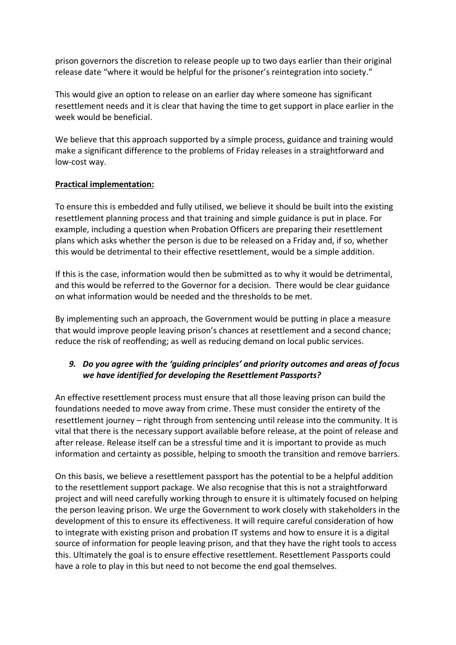prison governors the discretion to release people up to two days earlier than their original release date "where it would be helpful for the prisoner's reintegration into society."

This would give an option to release on an earlier day where someone has significant resettlement needs and it is clear that having the time to get support in place earlier in the week would be beneficial.

We believe that this approach supported by a simple process, guidance and training would make a significant difference to the problems of Friday releases in a straightforward and low-cost way.

# **Practical implementation:**

To ensure this is embedded and fully utilised, we believe it should be built into the existing resettlement planning process and that training and simple guidance is put in place. For example, including a question when Probation Officers are preparing their resettlement plans which asks whether the person is due to be released on a Friday and, if so, whether this would be detrimental to their effective resettlement, would be a simple addition.

If this is the case, information would then be submitted as to why it would be detrimental, and this would be referred to the Governor for a decision. There would be clear guidance on what information would be needed and the thresholds to be met.

By implementing such an approach, the Government would be putting in place a measure that would improve people leaving prison's chances at resettlement and a second chance; reduce the risk of reoffending; as well as reducing demand on local public services.

# *9. Do you agree with the 'guiding principles' and priority outcomes and areas of focus we have identified for developing the Resettlement Passports?*

An effective resettlement process must ensure that all those leaving prison can build the foundations needed to move away from crime. These must consider the entirety of the resettlement journey – right through from sentencing until release into the community. It is vital that there is the necessary support available before release, at the point of release and after release. Release itself can be a stressful time and it is important to provide as much information and certainty as possible, helping to smooth the transition and remove barriers.

On this basis, we believe a resettlement passport has the potential to be a helpful addition to the resettlement support package. We also recognise that this is not a straightforward project and will need carefully working through to ensure it is ultimately focused on helping the person leaving prison. We urge the Government to work closely with stakeholders in the development of this to ensure its effectiveness. It will require careful consideration of how to integrate with existing prison and probation IT systems and how to ensure it is a digital source of information for people leaving prison, and that they have the right tools to access this. Ultimately the goal is to ensure effective resettlement. Resettlement Passports could have a role to play in this but need to not become the end goal themselves.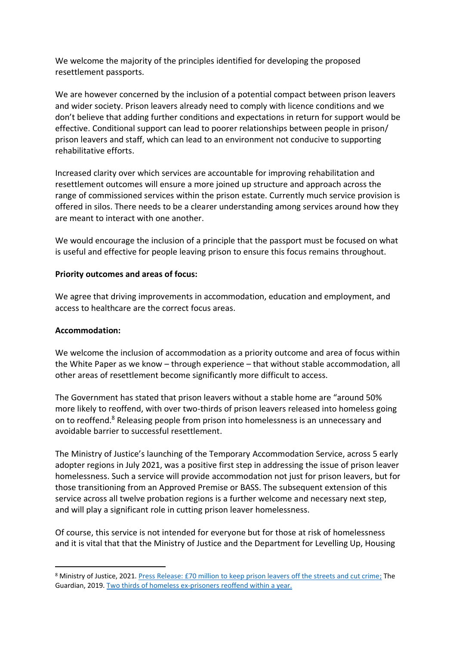We welcome the majority of the principles identified for developing the proposed resettlement passports.

We are however concerned by the inclusion of a potential compact between prison leavers and wider society. Prison leavers already need to comply with licence conditions and we don't believe that adding further conditions and expectations in return for support would be effective. Conditional support can lead to poorer relationships between people in prison/ prison leavers and staff, which can lead to an environment not conducive to supporting rehabilitative efforts.

Increased clarity over which services are accountable for improving rehabilitation and resettlement outcomes will ensure a more joined up structure and approach across the range of commissioned services within the prison estate. Currently much service provision is offered in silos. There needs to be a clearer understanding among services around how they are meant to interact with one another.

We would encourage the inclusion of a principle that the passport must be focused on what is useful and effective for people leaving prison to ensure this focus remains throughout.

#### **Priority outcomes and areas of focus:**

We agree that driving improvements in accommodation, education and employment, and access to healthcare are the correct focus areas.

## **Accommodation:**

We welcome the inclusion of accommodation as a priority outcome and area of focus within the White Paper as we know – through experience – that without stable accommodation, all other areas of resettlement become significantly more difficult to access.

The Government has stated that prison leavers without a stable home are "around 50% more likely to reoffend, with over two-thirds of prison leavers released into homeless going on to reoffend.<sup>8</sup> Releasing people from prison into homelessness is an unnecessary and avoidable barrier to successful resettlement.

The Ministry of Justice's launching of the Temporary Accommodation Service, across 5 early adopter regions in July 2021, was a positive first step in addressing the issue of prison leaver homelessness. Such a service will provide accommodation not just for prison leavers, but for those transitioning from an Approved Premise or BASS. The subsequent extension of this service across all twelve probation regions is a further welcome and necessary next step, and will play a significant role in cutting prison leaver homelessness.

Of course, this service is not intended for everyone but for those at risk of homelessness and it is vital that that the Ministry of Justice and the Department for Levelling Up, Housing

<sup>8</sup> Ministry of Justice, 2021. [Press Release: £70 million to keep prison leavers off the streets and cut crime;](https://www.gov.uk/government/news/70-million-to-keep-prison-leavers-off-the-streets-and-cut-crime) The Guardian, 2019. [Two thirds of homeless ex-prisoners reoffend within a year.](https://www.theguardian.com/society/2019/aug/12/two-thirds-of-homeless-ex-prisoners-reoffend-within-a-year)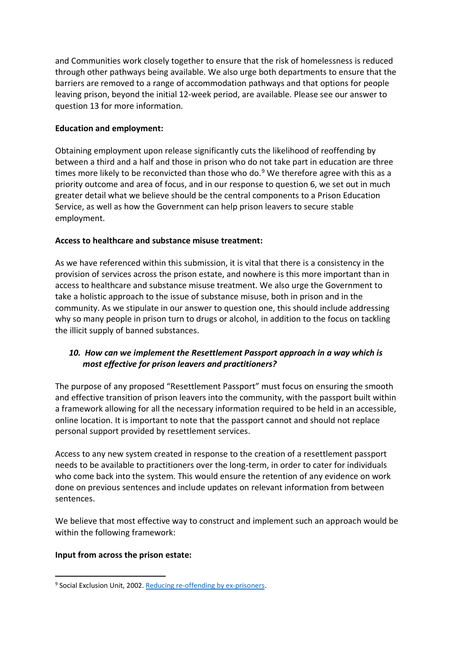and Communities work closely together to ensure that the risk of homelessness is reduced through other pathways being available. We also urge both departments to ensure that the barriers are removed to a range of accommodation pathways and that options for people leaving prison, beyond the initial 12-week period, are available. Please see our answer to question 13 for more information.

## **Education and employment:**

Obtaining employment upon release significantly cuts the likelihood of reoffending by between a third and a half and those in prison who do not take part in education are three times more likely to be reconvicted than those who do. $9$  We therefore agree with this as a priority outcome and area of focus, and in our response to question 6, we set out in much greater detail what we believe should be the central components to a Prison Education Service, as well as how the Government can help prison leavers to secure stable employment.

### **Access to healthcare and substance misuse treatment:**

As we have referenced within this submission, it is vital that there is a consistency in the provision of services across the prison estate, and nowhere is this more important than in access to healthcare and substance misuse treatment. We also urge the Government to take a holistic approach to the issue of substance misuse, both in prison and in the community. As we stipulate in our answer to question one, this should include addressing why so many people in prison turn to drugs or alcohol, in addition to the focus on tackling the illicit supply of banned substances.

# *10. How can we implement the Resettlement Passport approach in a way which is most effective for prison leavers and practitioners?*

The purpose of any proposed "Resettlement Passport" must focus on ensuring the smooth and effective transition of prison leavers into the community, with the passport built within a framework allowing for all the necessary information required to be held in an accessible, online location. It is important to note that the passport cannot and should not replace personal support provided by resettlement services.

Access to any new system created in response to the creation of a resettlement passport needs to be available to practitioners over the long-term, in order to cater for individuals who come back into the system. This would ensure the retention of any evidence on work done on previous sentences and include updates on relevant information from between sentences.

We believe that most effective way to construct and implement such an approach would be within the following framework:

#### **Input from across the prison estate:**

<sup>&</sup>lt;sup>9</sup> Social Exclusion Unit, 2002. [Reducing re-offending by ex-prisoners.](https://www.bristol.ac.uk/poverty/downloads/keyofficialdocuments/Reducing%20Reoffending.pdf)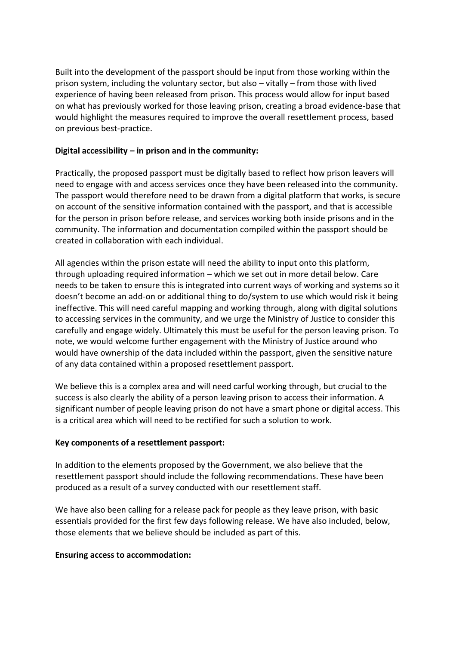Built into the development of the passport should be input from those working within the prison system, including the voluntary sector, but also – vitally – from those with lived experience of having been released from prison. This process would allow for input based on what has previously worked for those leaving prison, creating a broad evidence-base that would highlight the measures required to improve the overall resettlement process, based on previous best-practice.

## **Digital accessibility – in prison and in the community:**

Practically, the proposed passport must be digitally based to reflect how prison leavers will need to engage with and access services once they have been released into the community. The passport would therefore need to be drawn from a digital platform that works, is secure on account of the sensitive information contained with the passport, and that is accessible for the person in prison before release, and services working both inside prisons and in the community. The information and documentation compiled within the passport should be created in collaboration with each individual.

All agencies within the prison estate will need the ability to input onto this platform, through uploading required information – which we set out in more detail below. Care needs to be taken to ensure this is integrated into current ways of working and systems so it doesn't become an add-on or additional thing to do/system to use which would risk it being ineffective. This will need careful mapping and working through, along with digital solutions to accessing services in the community, and we urge the Ministry of Justice to consider this carefully and engage widely. Ultimately this must be useful for the person leaving prison. To note, we would welcome further engagement with the Ministry of Justice around who would have ownership of the data included within the passport, given the sensitive nature of any data contained within a proposed resettlement passport.

We believe this is a complex area and will need carful working through, but crucial to the success is also clearly the ability of a person leaving prison to access their information. A significant number of people leaving prison do not have a smart phone or digital access. This is a critical area which will need to be rectified for such a solution to work.

## **Key components of a resettlement passport:**

In addition to the elements proposed by the Government, we also believe that the resettlement passport should include the following recommendations. These have been produced as a result of a survey conducted with our resettlement staff.

We have also been calling for a release pack for people as they leave prison, with basic essentials provided for the first few days following release. We have also included, below, those elements that we believe should be included as part of this.

#### **Ensuring access to accommodation:**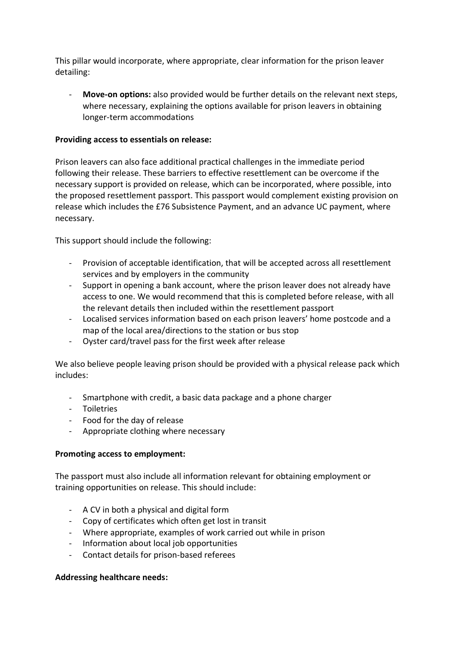This pillar would incorporate, where appropriate, clear information for the prison leaver detailing:

**Move-on options:** also provided would be further details on the relevant next steps, where necessary, explaining the options available for prison leavers in obtaining longer-term accommodations

### **Providing access to essentials on release:**

Prison leavers can also face additional practical challenges in the immediate period following their release. These barriers to effective resettlement can be overcome if the necessary support is provided on release, which can be incorporated, where possible, into the proposed resettlement passport. This passport would complement existing provision on release which includes the £76 Subsistence Payment, and an advance UC payment, where necessary.

This support should include the following:

- Provision of acceptable identification, that will be accepted across all resettlement services and by employers in the community
- Support in opening a bank account, where the prison leaver does not already have access to one. We would recommend that this is completed before release, with all the relevant details then included within the resettlement passport
- Localised services information based on each prison leavers' home postcode and a map of the local area/directions to the station or bus stop
- Oyster card/travel pass for the first week after release

We also believe people leaving prison should be provided with a physical release pack which includes:

- Smartphone with credit, a basic data package and a phone charger
- Toiletries
- Food for the day of release
- Appropriate clothing where necessary

## **Promoting access to employment:**

The passport must also include all information relevant for obtaining employment or training opportunities on release. This should include:

- A CV in both a physical and digital form
- Copy of certificates which often get lost in transit
- Where appropriate, examples of work carried out while in prison
- Information about local job opportunities
- Contact details for prison-based referees

#### **Addressing healthcare needs:**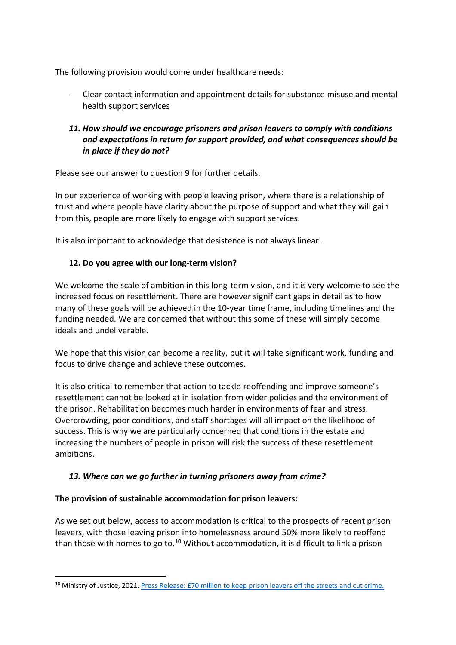The following provision would come under healthcare needs:

- Clear contact information and appointment details for substance misuse and mental health support services

# *11. How should we encourage prisoners and prison leavers to comply with conditions and expectations in return for support provided, and what consequences should be in place if they do not?*

Please see our answer to question 9 for further details.

In our experience of working with people leaving prison, where there is a relationship of trust and where people have clarity about the purpose of support and what they will gain from this, people are more likely to engage with support services.

It is also important to acknowledge that desistence is not always linear.

# **12. Do you agree with our long-term vision?**

We welcome the scale of ambition in this long-term vision, and it is very welcome to see the increased focus on resettlement. There are however significant gaps in detail as to how many of these goals will be achieved in the 10-year time frame, including timelines and the funding needed. We are concerned that without this some of these will simply become ideals and undeliverable.

We hope that this vision can become a reality, but it will take significant work, funding and focus to drive change and achieve these outcomes.

It is also critical to remember that action to tackle reoffending and improve someone's resettlement cannot be looked at in isolation from wider policies and the environment of the prison. Rehabilitation becomes much harder in environments of fear and stress. Overcrowding, poor conditions, and staff shortages will all impact on the likelihood of success. This is why we are particularly concerned that conditions in the estate and increasing the numbers of people in prison will risk the success of these resettlement ambitions.

# *13. Where can we go further in turning prisoners away from crime?*

## **The provision of sustainable accommodation for prison leavers:**

As we set out below, access to accommodation is critical to the prospects of recent prison leavers, with those leaving prison into homelessness around 50% more likely to reoffend than those with homes to go to.<sup>10</sup> Without accommodation, it is difficult to link a prison

<sup>&</sup>lt;sup>10</sup> Ministry of Justice, 2021. [Press Release: £70 million to keep prison leavers off the streets and cut crime.](https://www.gov.uk/government/news/70-million-to-keep-prison-leavers-off-the-streets-and-cut-crime)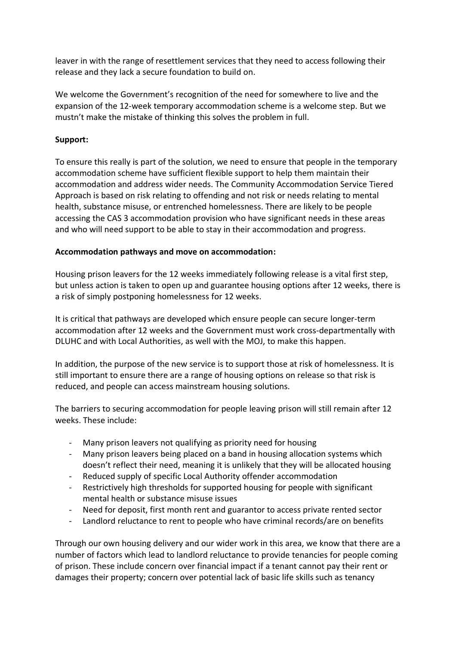leaver in with the range of resettlement services that they need to access following their release and they lack a secure foundation to build on.

We welcome the Government's recognition of the need for somewhere to live and the expansion of the 12-week temporary accommodation scheme is a welcome step. But we mustn't make the mistake of thinking this solves the problem in full.

## **Support:**

To ensure this really is part of the solution, we need to ensure that people in the temporary accommodation scheme have sufficient flexible support to help them maintain their accommodation and address wider needs. The Community Accommodation Service Tiered Approach is based on risk relating to offending and not risk or needs relating to mental health, substance misuse, or entrenched homelessness. There are likely to be people accessing the CAS 3 accommodation provision who have significant needs in these areas and who will need support to be able to stay in their accommodation and progress.

### **Accommodation pathways and move on accommodation:**

Housing prison leavers for the 12 weeks immediately following release is a vital first step, but unless action is taken to open up and guarantee housing options after 12 weeks, there is a risk of simply postponing homelessness for 12 weeks.

It is critical that pathways are developed which ensure people can secure longer-term accommodation after 12 weeks and the Government must work cross-departmentally with DLUHC and with Local Authorities, as well with the MOJ, to make this happen.

In addition, the purpose of the new service is to support those at risk of homelessness. It is still important to ensure there are a range of housing options on release so that risk is reduced, and people can access mainstream housing solutions.

The barriers to securing accommodation for people leaving prison will still remain after 12 weeks. These include:

- Many prison leavers not qualifying as priority need for housing
- Many prison leavers being placed on a band in housing allocation systems which doesn't reflect their need, meaning it is unlikely that they will be allocated housing
- Reduced supply of specific Local Authority offender accommodation
- Restrictively high thresholds for supported housing for people with significant mental health or substance misuse issues
- Need for deposit, first month rent and guarantor to access private rented sector
- Landlord reluctance to rent to people who have criminal records/are on benefits

Through our own housing delivery and our wider work in this area, we know that there are a number of factors which lead to landlord reluctance to provide tenancies for people coming of prison. These include concern over financial impact if a tenant cannot pay their rent or damages their property; concern over potential lack of basic life skills such as tenancy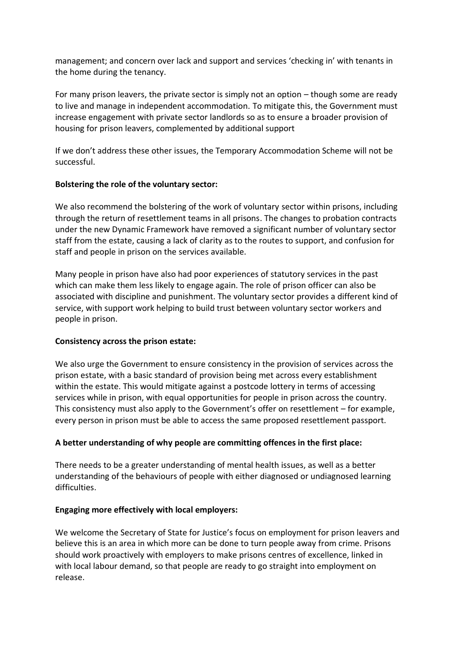management; and concern over lack and support and services 'checking in' with tenants in the home during the tenancy.

For many prison leavers, the private sector is simply not an option – though some are ready to live and manage in independent accommodation. To mitigate this, the Government must increase engagement with private sector landlords so as to ensure a broader provision of housing for prison leavers, complemented by additional support

If we don't address these other issues, the Temporary Accommodation Scheme will not be successful.

### **Bolstering the role of the voluntary sector:**

We also recommend the bolstering of the work of voluntary sector within prisons, including through the return of resettlement teams in all prisons. The changes to probation contracts under the new Dynamic Framework have removed a significant number of voluntary sector staff from the estate, causing a lack of clarity as to the routes to support, and confusion for staff and people in prison on the services available.

Many people in prison have also had poor experiences of statutory services in the past which can make them less likely to engage again. The role of prison officer can also be associated with discipline and punishment. The voluntary sector provides a different kind of service, with support work helping to build trust between voluntary sector workers and people in prison.

#### **Consistency across the prison estate:**

We also urge the Government to ensure consistency in the provision of services across the prison estate, with a basic standard of provision being met across every establishment within the estate. This would mitigate against a postcode lottery in terms of accessing services while in prison, with equal opportunities for people in prison across the country. This consistency must also apply to the Government's offer on resettlement – for example, every person in prison must be able to access the same proposed resettlement passport.

## **A better understanding of why people are committing offences in the first place:**

There needs to be a greater understanding of mental health issues, as well as a better understanding of the behaviours of people with either diagnosed or undiagnosed learning difficulties.

#### **Engaging more effectively with local employers:**

We welcome the Secretary of State for Justice's focus on employment for prison leavers and believe this is an area in which more can be done to turn people away from crime. Prisons should work proactively with employers to make prisons centres of excellence, linked in with local labour demand, so that people are ready to go straight into employment on release.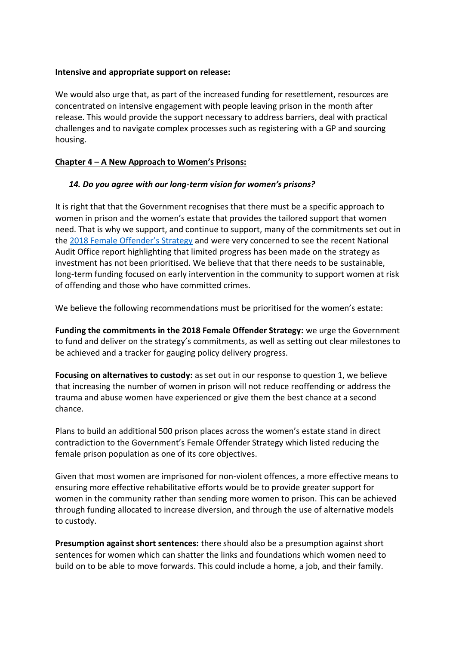### **Intensive and appropriate support on release:**

We would also urge that, as part of the increased funding for resettlement, resources are concentrated on intensive engagement with people leaving prison in the month after release. This would provide the support necessary to address barriers, deal with practical challenges and to navigate complex processes such as registering with a GP and sourcing housing.

### **Chapter 4 – A New Approach to Women's Prisons:**

## *14. Do you agree with our long-term vision for women's prisons?*

It is right that that the Government recognises that there must be a specific approach to women in prison and the women's estate that provides the tailored support that women need. That is why we support, and continue to support, many of the commitments set out in the [2018 Female Offender's Strategy](https://www.gov.uk/government/publications/female-offender-strategy) and were very concerned to see the recent National Audit Office report highlighting that limited progress has been made on the strategy as investment has not been prioritised. We believe that that there needs to be sustainable, long-term funding focused on early intervention in the community to support women at risk of offending and those who have committed crimes.

We believe the following recommendations must be prioritised for the women's estate:

**Funding the commitments in the 2018 Female Offender Strategy:** we urge the Government to fund and deliver on the strategy's commitments, as well as setting out clear milestones to be achieved and a tracker for gauging policy delivery progress.

**Focusing on alternatives to custody:** as set out in our response to question 1, we believe that increasing the number of women in prison will not reduce reoffending or address the trauma and abuse women have experienced or give them the best chance at a second chance.

Plans to build an additional 500 prison places across the women's estate stand in direct contradiction to the Government's Female Offender Strategy which listed reducing the female prison population as one of its core objectives.

Given that most women are imprisoned for non-violent offences, a more effective means to ensuring more effective rehabilitative efforts would be to provide greater support for women in the community rather than sending more women to prison. This can be achieved through funding allocated to increase diversion, and through the use of alternative models to custody.

**Presumption against short sentences:** there should also be a presumption against short sentences for women which can shatter the links and foundations which women need to build on to be able to move forwards. This could include a home, a job, and their family.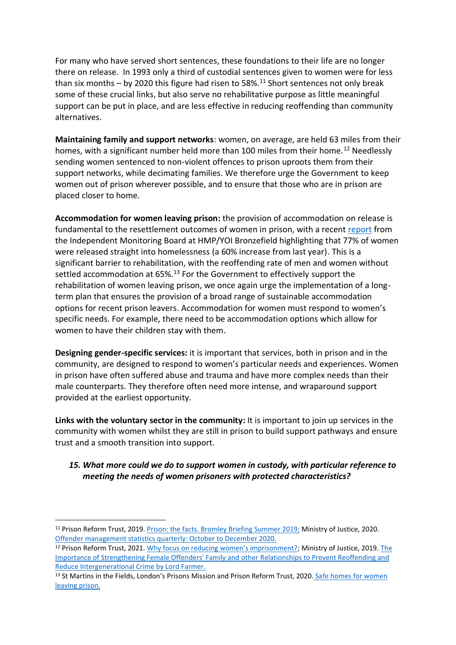For many who have served short sentences, these foundations to their life are no longer there on release. In 1993 only a third of custodial sentences given to women were for less than six months – by 2020 this figure had risen to 58%.<sup>11</sup> Short sentences not only break some of these crucial links, but also serve no rehabilitative purpose as little meaningful support can be put in place, and are less effective in reducing reoffending than community alternatives.

**Maintaining family and support networks**: women, on average, are held 63 miles from their homes, with a significant number held more than 100 miles from their home.<sup>12</sup> Needlessly sending women sentenced to non-violent offences to prison uproots them from their support networks, while decimating families. We therefore urge the Government to keep women out of prison wherever possible, and to ensure that those who are in prison are placed closer to home.

**Accommodation for women leaving prison:** the provision of accommodation on release is fundamental to the resettlement outcomes of women in prison, with a recent [report](https://s3-eu-west-2.amazonaws.com/imb-prod-storage-1ocod6bqky0vo/uploads/2021/11/Bronzefield-2020-21-annual-report-for-circulation.pdf) from the Independent Monitoring Board at HMP/YOI Bronzefield highlighting that 77% of women were released straight into homelessness (a 60% increase from last year). This is a significant barrier to rehabilitation, with the reoffending rate of men and women without settled accommodation at 65%.<sup>13</sup> For the Government to effectively support the rehabilitation of women leaving prison, we once again urge the implementation of a longterm plan that ensures the provision of a broad range of sustainable accommodation options for recent prison leavers. Accommodation for women must respond to women's specific needs. For example, there need to be accommodation options which allow for women to have their children stay with them.

**Designing gender-specific services:** it is important that services, both in prison and in the community, are designed to respond to women's particular needs and experiences. Women in prison have often suffered abuse and trauma and have more complex needs than their male counterparts. They therefore often need more intense, and wraparound support provided at the earliest opportunity.

**Links with the voluntary sector in the community:** It is important to join up services in the community with women whilst they are still in prison to build support pathways and ensure trust and a smooth transition into support.

# *15. What more could we do to support women in custody, with particular reference to meeting the needs of women prisoners with protected characteristics?*

<sup>11</sup> Prison Reform Trust, 2019. Prison: the [facts. Bromley Briefing Summer 2019;](http://www.prisonreformtrust.org.uk/Portals/0/Documents/Bromley%20Briefings/Prison%20the%20facts%20Summer%202019.pdf) Ministry of Justice, 2020. [Offender management statistics quarterly: October to December 2020.](https://www.gov.uk/government/statistics/offender-management-statistics-quarterly-october-to-december-2020)

<sup>&</sup>lt;sup>12</sup> Prison Reform Trust, 2021. [Why focus on reducing women's imprisonment?](http://www.prisonreformtrust.org.uk/Portals/0/Documents/Women/Why%20women%202021%20briefing%20FINAL.pdf); Ministry of Justice, 2019. The [Importance of Strengthening Female Offenders' Family and other](https://assets.publishing.service.gov.uk/government/uploads/system/uploads/attachment_data/file/809467/farmer-review-women.PDF) Relationships to Prevent Reoffending and [Reduce Intergenerational Crime by Lord Farmer.](https://assets.publishing.service.gov.uk/government/uploads/system/uploads/attachment_data/file/809467/farmer-review-women.PDF)

<sup>&</sup>lt;sup>13</sup> St Martins in the Fields, London's Prisons Mission and Prison Reform Trust, 2020. Safe homes for women [leaving prison.](http://www.prisonreformtrust.org.uk/Portals/0/Safe%20Homes%20Initiative%20briefing%20FINALUPDATE.pdf)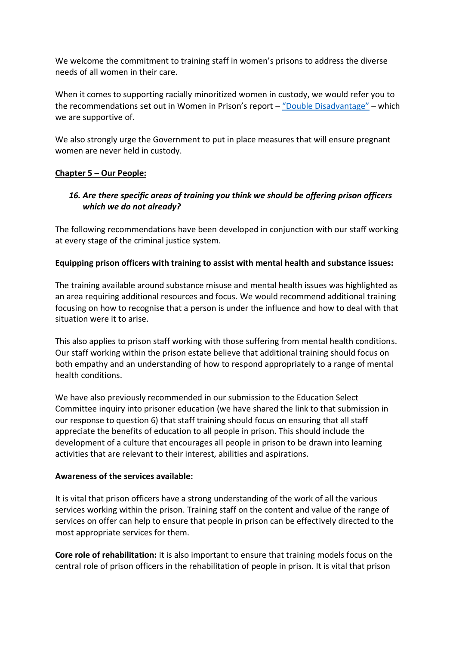We welcome the commitment to training staff in women's prisons to address the diverse needs of all women in their care.

When it comes to supporting racially minoritized women in custody, we would refer you to the recommendations set out in Women in Prison's report – ["Double Disadvantage"](https://weareagenda.org/tackling-double-disadvantage/) – which we are supportive of.

We also strongly urge the Government to put in place measures that will ensure pregnant women are never held in custody.

## **Chapter 5 – Our People:**

# *16. Are there specific areas of training you think we should be offering prison officers which we do not already?*

The following recommendations have been developed in conjunction with our staff working at every stage of the criminal justice system.

## **Equipping prison officers with training to assist with mental health and substance issues:**

The training available around substance misuse and mental health issues was highlighted as an area requiring additional resources and focus. We would recommend additional training focusing on how to recognise that a person is under the influence and how to deal with that situation were it to arise.

This also applies to prison staff working with those suffering from mental health conditions. Our staff working within the prison estate believe that additional training should focus on both empathy and an understanding of how to respond appropriately to a range of mental health conditions.

We have also previously recommended in our submission to the Education Select Committee inquiry into prisoner education (we have shared the link to that submission in our response to question 6) that staff training should focus on ensuring that all staff appreciate the benefits of education to all people in prison. This should include the development of a culture that encourages all people in prison to be drawn into learning activities that are relevant to their interest, abilities and aspirations.

## **Awareness of the services available:**

It is vital that prison officers have a strong understanding of the work of all the various services working within the prison. Training staff on the content and value of the range of services on offer can help to ensure that people in prison can be effectively directed to the most appropriate services for them.

**Core role of rehabilitation:** it is also important to ensure that training models focus on the central role of prison officers in the rehabilitation of people in prison. It is vital that prison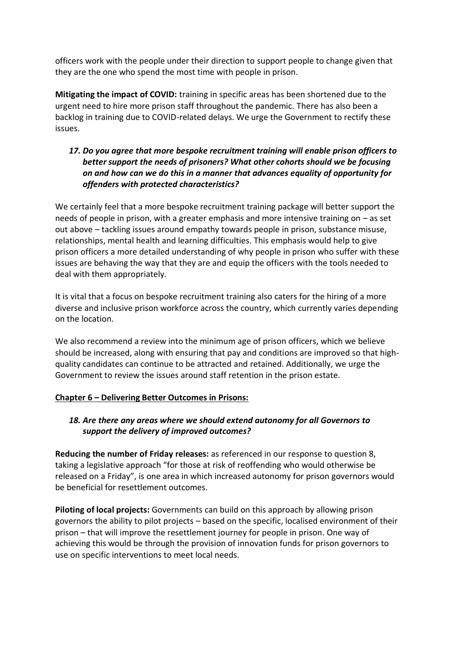officers work with the people under their direction to support people to change given that they are the one who spend the most time with people in prison.

**Mitigating the impact of COVID:** training in specific areas has been shortened due to the urgent need to hire more prison staff throughout the pandemic. There has also been a backlog in training due to COVID-related delays. We urge the Government to rectify these issues.

# *17. Do you agree that more bespoke recruitment training will enable prison officers to better support the needs of prisoners? What other cohorts should we be focusing on and how can we do this in a manner that advances equality of opportunity for offenders with protected characteristics?*

We certainly feel that a more bespoke recruitment training package will better support the needs of people in prison, with a greater emphasis and more intensive training on – as set out above – tackling issues around empathy towards people in prison, substance misuse, relationships, mental health and learning difficulties. This emphasis would help to give prison officers a more detailed understanding of why people in prison who suffer with these issues are behaving the way that they are and equip the officers with the tools needed to deal with them appropriately.

It is vital that a focus on bespoke recruitment training also caters for the hiring of a more diverse and inclusive prison workforce across the country, which currently varies depending on the location.

We also recommend a review into the minimum age of prison officers, which we believe should be increased, along with ensuring that pay and conditions are improved so that highquality candidates can continue to be attracted and retained. Additionally, we urge the Government to review the issues around staff retention in the prison estate.

## **Chapter 6 – Delivering Better Outcomes in Prisons:**

## *18. Are there any areas where we should extend autonomy for all Governors to support the delivery of improved outcomes?*

**Reducing the number of Friday releases:** as referenced in our response to question 8, taking a legislative approach "for those at risk of reoffending who would otherwise be released on a Friday", is one area in which increased autonomy for prison governors would be beneficial for resettlement outcomes.

**Piloting of local projects:** Governments can build on this approach by allowing prison governors the ability to pilot projects – based on the specific, localised environment of their prison – that will improve the resettlement journey for people in prison. One way of achieving this would be through the provision of innovation funds for prison governors to use on specific interventions to meet local needs.